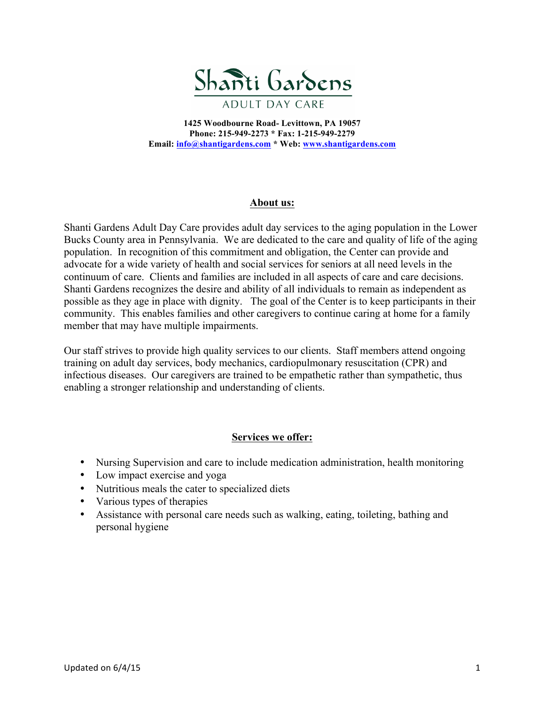

**1425 Woodbourne Road- Levittown, PA 19057 Phone: 215-949-2273 \* Fax: 1-215-949-2279 Email: info@shantigardens.com \* Web: www.shantigardens.com**

## **About us:**

Shanti Gardens Adult Day Care provides adult day services to the aging population in the Lower Bucks County area in Pennsylvania. We are dedicated to the care and quality of life of the aging population. In recognition of this commitment and obligation, the Center can provide and advocate for a wide variety of health and social services for seniors at all need levels in the continuum of care. Clients and families are included in all aspects of care and care decisions. Shanti Gardens recognizes the desire and ability of all individuals to remain as independent as possible as they age in place with dignity. The goal of the Center is to keep participants in their community. This enables families and other caregivers to continue caring at home for a family member that may have multiple impairments.

Our staff strives to provide high quality services to our clients. Staff members attend ongoing training on adult day services, body mechanics, cardiopulmonary resuscitation (CPR) and infectious diseases. Our caregivers are trained to be empathetic rather than sympathetic, thus enabling a stronger relationship and understanding of clients.

## **Services we offer:**

- Nursing Supervision and care to include medication administration, health monitoring
- Low impact exercise and yoga
- Nutritious meals the cater to specialized diets
- Various types of therapies
- Assistance with personal care needs such as walking, eating, toileting, bathing and personal hygiene